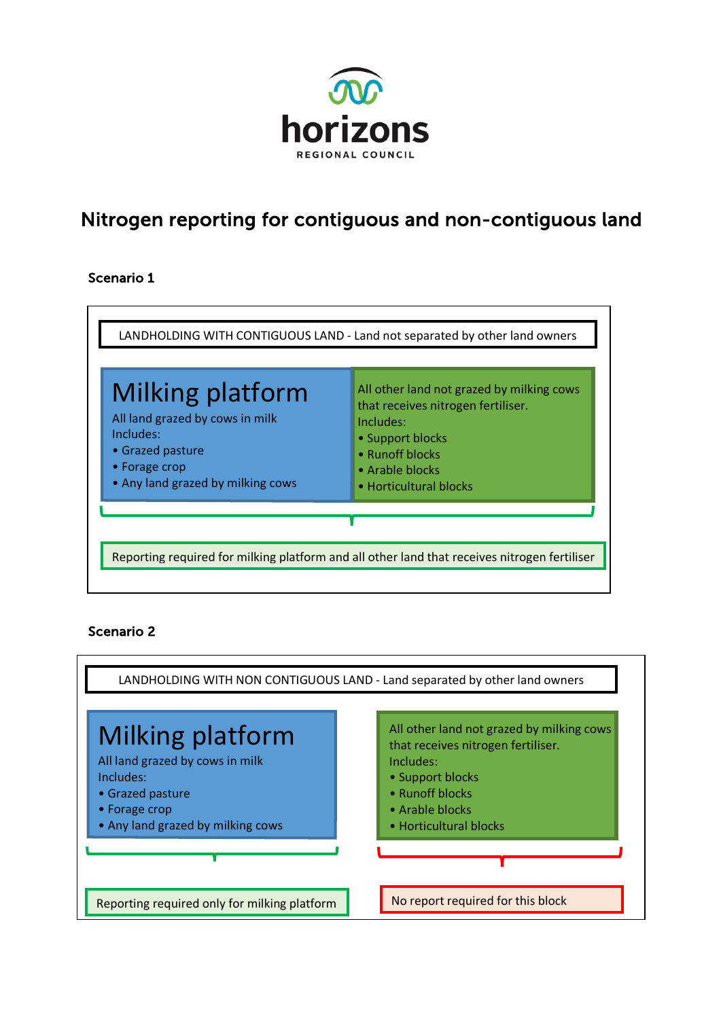

## Nitrogen reporting for contiguous and non-contiguous land

## Scenario 1



## Scenario 2